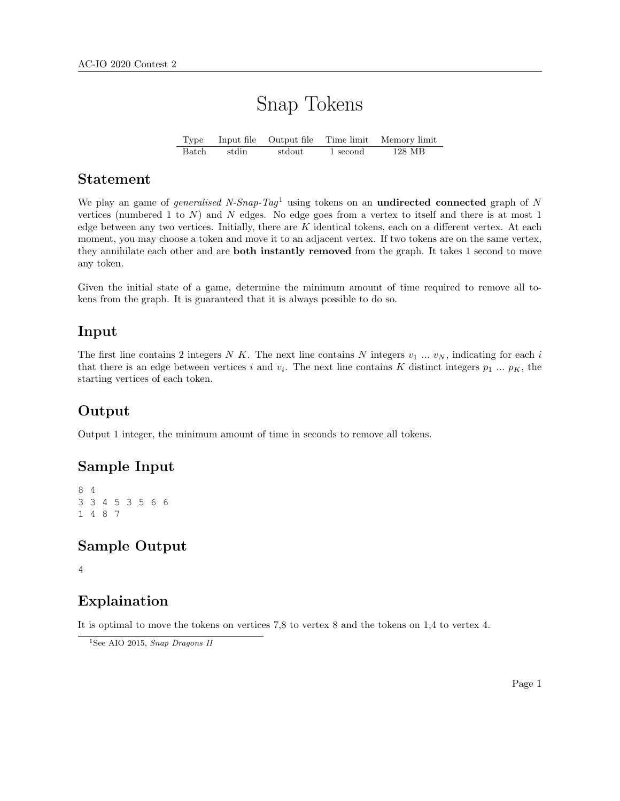# Snap Tokens

Type Input file Output file Time limit Memory limit Batch stdin stdout 1 second 128 MB

#### Statement

We play an game of *generalised N-Snap-Tag*<sup>1</sup> using tokens on an **undirected connected** graph of N vertices (numbered 1 to  $N$ ) and  $N$  edges. No edge goes from a vertex to itself and there is at most 1 edge between any two vertices. Initially, there are  $K$  identical tokens, each on a different vertex. At each moment, you may choose a token and move it to an adjacent vertex. If two tokens are on the same vertex, they annihilate each other and are **both instantly removed** from the graph. It takes 1 second to move any token.

Given the initial state of a game, determine the minimum amount of time required to remove all tokens from the graph. It is guaranteed that it is always possible to do so.

#### Input

The first line contains 2 integers N K. The next line contains N integers  $v_1 \dots v_N$ , indicating for each i that there is an edge between vertices i and  $v_i$ . The next line contains K distinct integers  $p_1 \dots p_K$ , the starting vertices of each token.

## Output

Output 1 integer, the minimum amount of time in seconds to remove all tokens.

#### Sample Input

8 4 3 3 4 5 3 5 6 6 1 4 8 7

## Sample Output

4

#### Explaination

It is optimal to move the tokens on vertices 7,8 to vertex 8 and the tokens on 1,4 to vertex 4.

<sup>&</sup>lt;sup>1</sup>See AIO 2015, Snap Dragons II